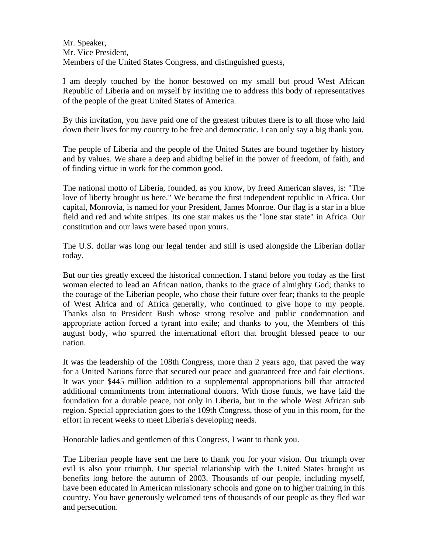Mr. Speaker, Mr. Vice President, Members of the United States Congress, and distinguished guests,

I am deeply touched by the honor bestowed on my small but proud West African Republic of Liberia and on myself by inviting me to address this body of representatives of the people of the great United States of America.

By this invitation, you have paid one of the greatest tributes there is to all those who laid down their lives for my country to be free and democratic. I can only say a big thank you.

The people of Liberia and the people of the United States are bound together by history and by values. We share a deep and abiding belief in the power of freedom, of faith, and of finding virtue in work for the common good.

The national motto of Liberia, founded, as you know, by freed American slaves, is: "The love of liberty brought us here." We became the first independent republic in Africa. Our capital, Monrovia, is named for your President, James Monroe. Our flag is a star in a blue field and red and white stripes. Its one star makes us the "lone star state" in Africa. Our constitution and our laws were based upon yours.

The U.S. dollar was long our legal tender and still is used alongside the Liberian dollar today.

But our ties greatly exceed the historical connection. I stand before you today as the first woman elected to lead an African nation, thanks to the grace of almighty God; thanks to the courage of the Liberian people, who chose their future over fear; thanks to the people of West Africa and of Africa generally, who continued to give hope to my people. Thanks also to President Bush whose strong resolve and public condemnation and appropriate action forced a tyrant into exile; and thanks to you, the Members of this august body, who spurred the international effort that brought blessed peace to our nation.

It was the leadership of the 108th Congress, more than 2 years ago, that paved the way for a United Nations force that secured our peace and guaranteed free and fair elections. It was your \$445 million addition to a supplemental appropriations bill that attracted additional commitments from international donors. With those funds, we have laid the foundation for a durable peace, not only in Liberia, but in the whole West African sub region. Special appreciation goes to the 109th Congress, those of you in this room, for the effort in recent weeks to meet Liberia's developing needs.

Honorable ladies and gentlemen of this Congress, I want to thank you.

The Liberian people have sent me here to thank you for your vision. Our triumph over evil is also your triumph. Our special relationship with the United States brought us benefits long before the autumn of 2003. Thousands of our people, including myself, have been educated in American missionary schools and gone on to higher training in this country. You have generously welcomed tens of thousands of our people as they fled war and persecution.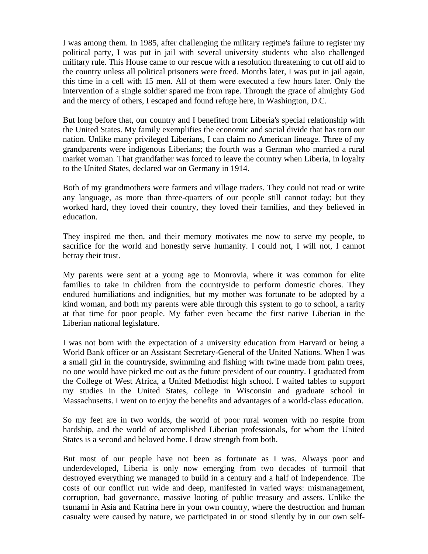I was among them. In 1985, after challenging the military regime's failure to register my political party, I was put in jail with several university students who also challenged military rule. This House came to our rescue with a resolution threatening to cut off aid to the country unless all political prisoners were freed. Months later, I was put in jail again, this time in a cell with 15 men. All of them were executed a few hours later. Only the intervention of a single soldier spared me from rape. Through the grace of almighty God and the mercy of others, I escaped and found refuge here, in Washington, D.C.

But long before that, our country and I benefited from Liberia's special relationship with the United States. My family exemplifies the economic and social divide that has torn our nation. Unlike many privileged Liberians, I can claim no American lineage. Three of my grandparents were indigenous Liberians; the fourth was a German who married a rural market woman. That grandfather was forced to leave the country when Liberia, in loyalty to the United States, declared war on Germany in 1914.

Both of my grandmothers were farmers and village traders. They could not read or write any language, as more than three-quarters of our people still cannot today; but they worked hard, they loved their country, they loved their families, and they believed in education.

They inspired me then, and their memory motivates me now to serve my people, to sacrifice for the world and honestly serve humanity. I could not, I will not, I cannot betray their trust.

My parents were sent at a young age to Monrovia, where it was common for elite families to take in children from the countryside to perform domestic chores. They endured humiliations and indignities, but my mother was fortunate to be adopted by a kind woman, and both my parents were able through this system to go to school, a rarity at that time for poor people. My father even became the first native Liberian in the Liberian national legislature.

I was not born with the expectation of a university education from Harvard or being a World Bank officer or an Assistant Secretary-General of the United Nations. When I was a small girl in the countryside, swimming and fishing with twine made from palm trees, no one would have picked me out as the future president of our country. I graduated from the College of West Africa, a United Methodist high school. I waited tables to support my studies in the United States, college in Wisconsin and graduate school in Massachusetts. I went on to enjoy the benefits and advantages of a world-class education.

So my feet are in two worlds, the world of poor rural women with no respite from hardship, and the world of accomplished Liberian professionals, for whom the United States is a second and beloved home. I draw strength from both.

But most of our people have not been as fortunate as I was. Always poor and underdeveloped, Liberia is only now emerging from two decades of turmoil that destroyed everything we managed to build in a century and a half of independence. The costs of our conflict run wide and deep, manifested in varied ways: mismanagement, corruption, bad governance, massive looting of public treasury and assets. Unlike the tsunami in Asia and Katrina here in your own country, where the destruction and human casualty were caused by nature, we participated in or stood silently by in our own self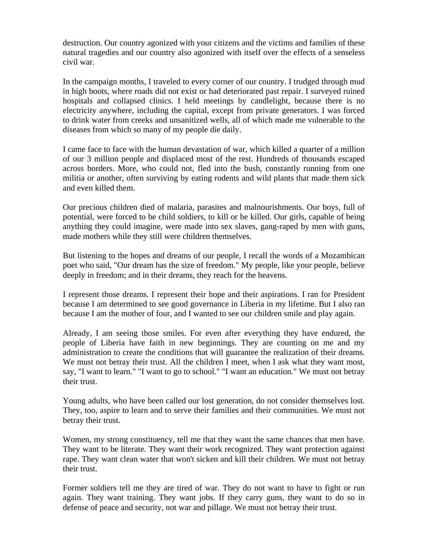destruction. Our country agonized with your citizens and the victims and families of these natural tragedies and our country also agonized with itself over the effects of a senseless civil war.

In the campaign months, I traveled to every corner of our country. I trudged through mud in high boots, where roads did not exist or had deteriorated past repair. I surveyed ruined hospitals and collapsed clinics. I held meetings by candlelight, because there is no electricity anywhere, including the capital, except from private generators. I was forced to drink water from creeks and unsanitized wells, all of which made me vulnerable to the diseases from which so many of my people die daily.

I came face to face with the human devastation of war, which killed a quarter of a million of our 3 million people and displaced most of the rest. Hundreds of thousands escaped across borders. More, who could not, fled into the bush, constantly running from one militia or another, often surviving by eating rodents and wild plants that made them sick and even killed them.

Our precious children died of malaria, parasites and malnourishments. Our boys, full of potential, were forced to be child soldiers, to kill or be killed. Our girls, capable of being anything they could imagine, were made into sex slaves, gang-raped by men with guns, made mothers while they still were children themselves.

But listening to the hopes and dreams of our people, I recall the words of a Mozambican poet who said, "Our dream has the size of freedom." My people, like your people, believe deeply in freedom; and in their dreams, they reach for the heavens.

I represent those dreams. I represent their hope and their aspirations. I ran for President because I am determined to see good governance in Liberia in my lifetime. But I also ran because I am the mother of four, and I wanted to see our children smile and play again.

Already, I am seeing those smiles. For even after everything they have endured, the people of Liberia have faith in new beginnings. They are counting on me and my administration to create the conditions that will guarantee the realization of their dreams. We must not betray their trust. All the children I meet, when I ask what they want most, say, "I want to learn." "I want to go to school." "I want an education." We must not betray their trust.

Young adults, who have been called our lost generation, do not consider themselves lost. They, too, aspire to learn and to serve their families and their communities. We must not betray their trust.

Women, my strong constituency, tell me that they want the same chances that men have. They want to be literate. They want their work recognized. They want protection against rape. They want clean water that won't sicken and kill their children. We must not betray their trust.

Former soldiers tell me they are tired of war. They do not want to have to fight or run again. They want training. They want jobs. If they carry guns, they want to do so in defense of peace and security, not war and pillage. We must not betray their trust.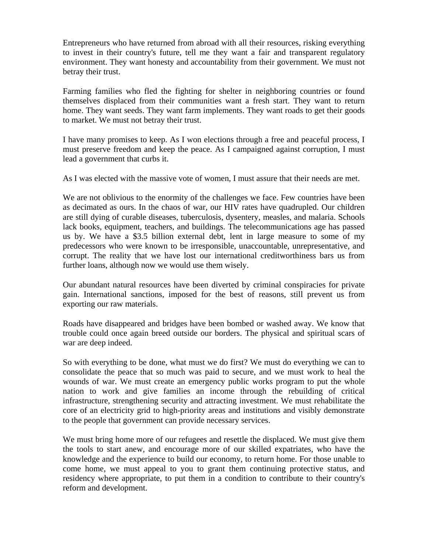Entrepreneurs who have returned from abroad with all their resources, risking everything to invest in their country's future, tell me they want a fair and transparent regulatory environment. They want honesty and accountability from their government. We must not betray their trust.

Farming families who fled the fighting for shelter in neighboring countries or found themselves displaced from their communities want a fresh start. They want to return home. They want seeds. They want farm implements. They want roads to get their goods to market. We must not betray their trust.

I have many promises to keep. As I won elections through a free and peaceful process, I must preserve freedom and keep the peace. As I campaigned against corruption, I must lead a government that curbs it.

As I was elected with the massive vote of women, I must assure that their needs are met.

We are not oblivious to the enormity of the challenges we face. Few countries have been as decimated as ours. In the chaos of war, our HIV rates have quadrupled. Our children are still dying of curable diseases, tuberculosis, dysentery, measles, and malaria. Schools lack books, equipment, teachers, and buildings. The telecommunications age has passed us by. We have a \$3.5 billion external debt, lent in large measure to some of my predecessors who were known to be irresponsible, unaccountable, unrepresentative, and corrupt. The reality that we have lost our international creditworthiness bars us from further loans, although now we would use them wisely.

Our abundant natural resources have been diverted by criminal conspiracies for private gain. International sanctions, imposed for the best of reasons, still prevent us from exporting our raw materials.

Roads have disappeared and bridges have been bombed or washed away. We know that trouble could once again breed outside our borders. The physical and spiritual scars of war are deep indeed.

So with everything to be done, what must we do first? We must do everything we can to consolidate the peace that so much was paid to secure, and we must work to heal the wounds of war. We must create an emergency public works program to put the whole nation to work and give families an income through the rebuilding of critical infrastructure, strengthening security and attracting investment. We must rehabilitate the core of an electricity grid to high-priority areas and institutions and visibly demonstrate to the people that government can provide necessary services.

We must bring home more of our refugees and resettle the displaced. We must give them the tools to start anew, and encourage more of our skilled expatriates, who have the knowledge and the experience to build our economy, to return home. For those unable to come home, we must appeal to you to grant them continuing protective status, and residency where appropriate, to put them in a condition to contribute to their country's reform and development.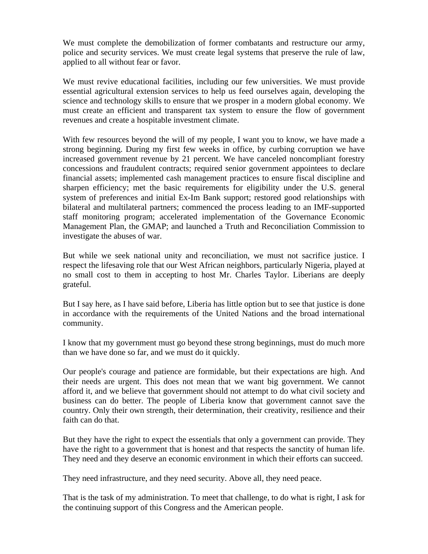We must complete the demobilization of former combatants and restructure our army, police and security services. We must create legal systems that preserve the rule of law, applied to all without fear or favor.

We must revive educational facilities, including our few universities. We must provide essential agricultural extension services to help us feed ourselves again, developing the science and technology skills to ensure that we prosper in a modern global economy. We must create an efficient and transparent tax system to ensure the flow of government revenues and create a hospitable investment climate.

With few resources beyond the will of my people, I want you to know, we have made a strong beginning. During my first few weeks in office, by curbing corruption we have increased government revenue by 21 percent. We have canceled noncompliant forestry concessions and fraudulent contracts; required senior government appointees to declare financial assets; implemented cash management practices to ensure fiscal discipline and sharpen efficiency; met the basic requirements for eligibility under the U.S. general system of preferences and initial Ex-Im Bank support; restored good relationships with bilateral and multilateral partners; commenced the process leading to an IMF-supported staff monitoring program; accelerated implementation of the Governance Economic Management Plan, the GMAP; and launched a Truth and Reconciliation Commission to investigate the abuses of war.

But while we seek national unity and reconciliation, we must not sacrifice justice. I respect the lifesaving role that our West African neighbors, particularly Nigeria, played at no small cost to them in accepting to host Mr. Charles Taylor. Liberians are deeply grateful.

But I say here, as I have said before, Liberia has little option but to see that justice is done in accordance with the requirements of the United Nations and the broad international community.

I know that my government must go beyond these strong beginnings, must do much more than we have done so far, and we must do it quickly.

Our people's courage and patience are formidable, but their expectations are high. And their needs are urgent. This does not mean that we want big government. We cannot afford it, and we believe that government should not attempt to do what civil society and business can do better. The people of Liberia know that government cannot save the country. Only their own strength, their determination, their creativity, resilience and their faith can do that.

But they have the right to expect the essentials that only a government can provide. They have the right to a government that is honest and that respects the sanctity of human life. They need and they deserve an economic environment in which their efforts can succeed.

They need infrastructure, and they need security. Above all, they need peace.

That is the task of my administration. To meet that challenge, to do what is right, I ask for the continuing support of this Congress and the American people.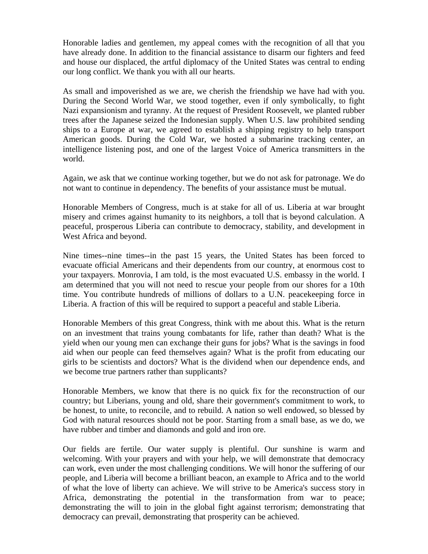Honorable ladies and gentlemen, my appeal comes with the recognition of all that you have already done. In addition to the financial assistance to disarm our fighters and feed and house our displaced, the artful diplomacy of the United States was central to ending our long conflict. We thank you with all our hearts.

As small and impoverished as we are, we cherish the friendship we have had with you. During the Second World War, we stood together, even if only symbolically, to fight Nazi expansionism and tyranny. At the request of President Roosevelt, we planted rubber trees after the Japanese seized the Indonesian supply. When U.S. law prohibited sending ships to a Europe at war, we agreed to establish a shipping registry to help transport American goods. During the Cold War, we hosted a submarine tracking center, an intelligence listening post, and one of the largest Voice of America transmitters in the world.

Again, we ask that we continue working together, but we do not ask for patronage. We do not want to continue in dependency. The benefits of your assistance must be mutual.

Honorable Members of Congress, much is at stake for all of us. Liberia at war brought misery and crimes against humanity to its neighbors, a toll that is beyond calculation. A peaceful, prosperous Liberia can contribute to democracy, stability, and development in West Africa and beyond.

Nine times--nine times--in the past 15 years, the United States has been forced to evacuate official Americans and their dependents from our country, at enormous cost to your taxpayers. Monrovia, I am told, is the most evacuated U.S. embassy in the world. I am determined that you will not need to rescue your people from our shores for a 10th time. You contribute hundreds of millions of dollars to a U.N. peacekeeping force in Liberia. A fraction of this will be required to support a peaceful and stable Liberia.

Honorable Members of this great Congress, think with me about this. What is the return on an investment that trains young combatants for life, rather than death? What is the yield when our young men can exchange their guns for jobs? What is the savings in food aid when our people can feed themselves again? What is the profit from educating our girls to be scientists and doctors? What is the dividend when our dependence ends, and we become true partners rather than supplicants?

Honorable Members, we know that there is no quick fix for the reconstruction of our country; but Liberians, young and old, share their government's commitment to work, to be honest, to unite, to reconcile, and to rebuild. A nation so well endowed, so blessed by God with natural resources should not be poor. Starting from a small base, as we do, we have rubber and timber and diamonds and gold and iron ore.

Our fields are fertile. Our water supply is plentiful. Our sunshine is warm and welcoming. With your prayers and with your help, we will demonstrate that democracy can work, even under the most challenging conditions. We will honor the suffering of our people, and Liberia will become a brilliant beacon, an example to Africa and to the world of what the love of liberty can achieve. We will strive to be America's success story in Africa, demonstrating the potential in the transformation from war to peace; demonstrating the will to join in the global fight against terrorism; demonstrating that democracy can prevail, demonstrating that prosperity can be achieved.